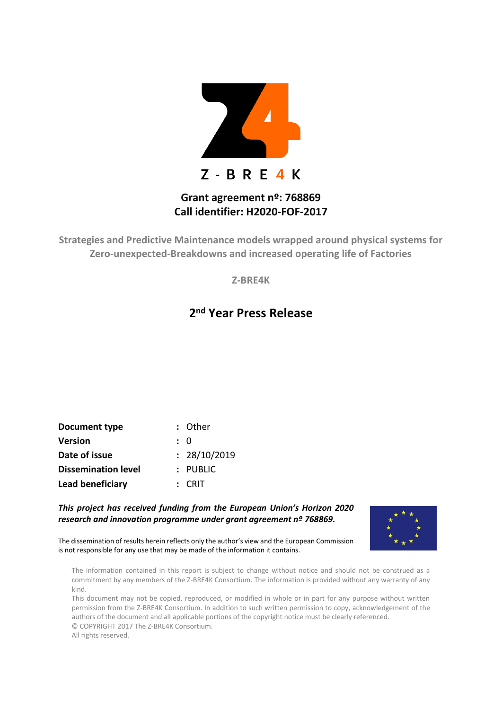

## **Grant agreement nº: 768869 Call identifier: H2020-FOF-2017**

**Strategies and Predictive Maintenance models wrapped around physical systems for Zero-unexpected-Breakdowns and increased operating life of Factories**

**Z-BRE4K**

## **2 nd Year Press Release**

| Document type              | : Other      |
|----------------------------|--------------|
| <b>Version</b>             | : 0          |
| Date of issue              | : 28/10/2019 |
| <b>Dissemination level</b> | $:$ PUBLIC   |
| Lead beneficiary           | $:$ CRIT     |

*This project has received funding from the European Union's Horizon 2020 research and innovation programme under grant agreement nº 768869.* 



The dissemination of results herein reflects only the author's view and the European Commission is not responsible for any use that may be made of the information it contains.

The information contained in this report is subject to change without notice and should not be construed as a commitment by any members of the Z-BRE4K Consortium. The information is provided without any warranty of any kind.

This document may not be copied, reproduced, or modified in whole or in part for any purpose without written permission from the Z-BRE4K Consortium. In addition to such written permission to copy, acknowledgement of the authors of the document and all applicable portions of the copyright notice must be clearly referenced. © COPYRIGHT 2017 The Z-BRE4K Consortium.

All rights reserved.